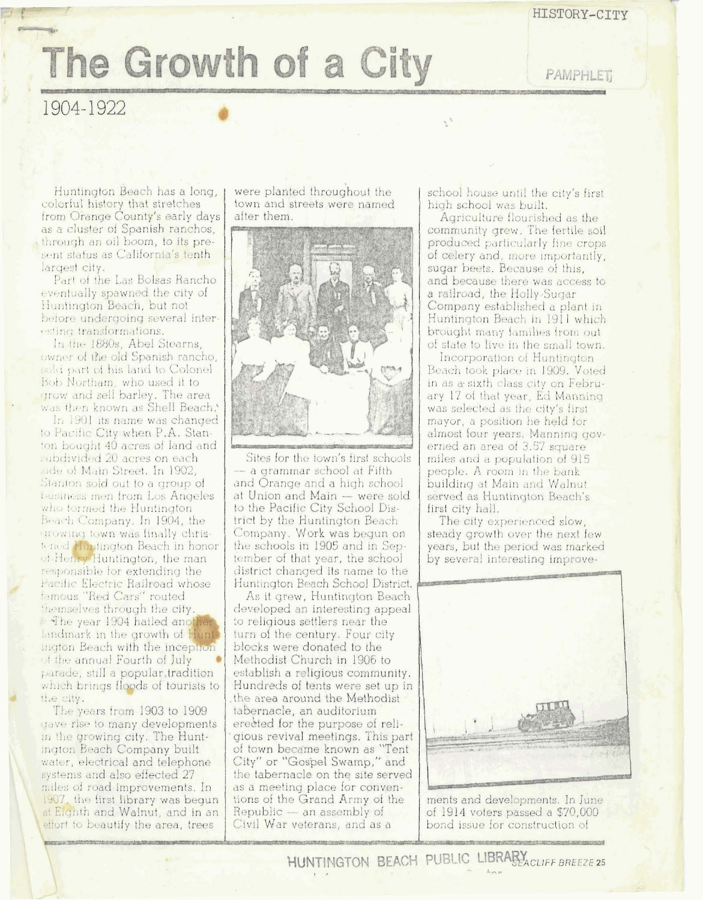## The Growth of a City

**PAMPHLET** 

## 1904-1922

Huntington Beach has a long. colorful history that stretches<br>from Orange County's early days as a cluster of Spanish ranchos, through an oil boom, to its present status as California's tenth largest city.

Part of the Las Bolsas Rancho eventually spawned the city of Huntington Beach, but not before undergoing several interesting transformations.

In the 1880s, Abel Stearns, owner of the old Spanish rancho, sold part of his land to Colonel Bob Northam, who used it to grow and sell barley. The area was then known as Shell Beach.'

In 1901 its name was changed to Pacific City when P.A. Stanton bought 40 acres of land and subdivided 20 acres on each aide of Main Street. In 1902, Stanton sold out to a group of business men from Los Angeles who formed the Huntington Beach Company. In 1904, the growing town was finally christened Huntington Beach in honor et Henry Huntington, the man responsible for extending the Pacific Electric Railroad whose famous "Red Cars" routed themselves through the city. The year 1904 hailed another Lindmark in the growth of Hunt ington Beach with the inception of the annual Fourth of July parade, still a popular tradition which brings floods of tourists to the city.

The years from 1903 to 1909 gave rise to many developments in the growing city. The Huntington Beach Company built water, electrical and telephone systems and also effected 27 miles of road improvements. In 1907, the first library was begun at Eighth and Walnut, and in an effort to beautify the area, trees

were planted throughout the town and streets were named after them.



Sites for the town's first schools - a grammar school at Fifth and Orange and a high school at Union and Main - were sold to the Pacific City School District by the Huntington Beach Company. Work was begun on the schools in 1905 and in September of that year, the school district changed its name to the Huntington Beach School District.

As it grew, Huntington Beach developed an interesting appeal to religious settlers near the turn of the century. Four city blocks were donated to the Methodist Church in 1906 to establish a religious community. Hundreds of tents were set up in the area around the Methodist tabernacle, an auditorium erected for the purpose of religious revival meetings. This part of town became known as "Tent<br>City" or "Gospel Swamp," and the tabernacle on the site served as a meeting place for conventions of the Grand Army of the Republic - an assembly of Civil War veterans, and as a

school house until the city's first high school was built.

Agriculture flourished as the community grew. The fertile soil produced particularly fine crops of celery and, more importantly, sugar beets. Because of this, and because there was access to a railroad, the Holly-Sugar Company established a plant in Huntington Beach in 1911 which brought many families from out of state to live in the small town.

Incorporation of Huntington Beach took place in 1909. Voted in as a sixth class city on February 17 of that year, Ed Manning was selected as the city's first mayor, a position he held for almost four years. Manning governed an area of 3.57 square miles and a population of 915 people. A room in the bank building at Main and Walnut served as Huntington Beach's first city hall.

The city experienced slow, steady growth over the next few years, but the period was marked by several interesting improve-



ments and developments. In June of 1914 voters passed a \$70,000 bond issue for construction of